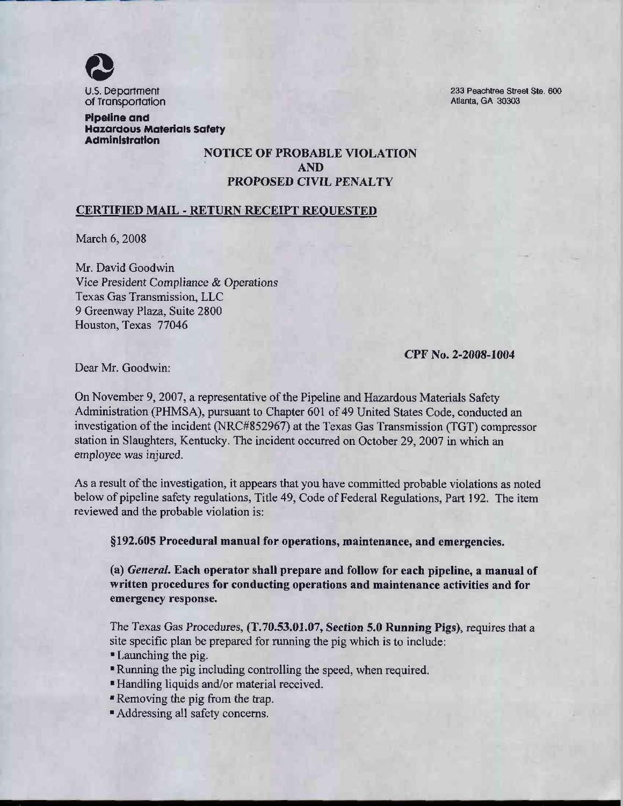

233 Peachtree Street Ste. 600 Atlanta, GA 30303

**Pipeline and Hazardous Materials Safety Administration** 

## **NOTICE OF PROBABLE VIOLATION AND** PROPOSED CIVIL PENALTY

## **CERTIFIED MAIL - RETURN RECEIPT REQUESTED**

March 6, 2008

Mr. David Goodwin Vice President Compliance & Operations Texas Gas Transmission, LLC 9 Greenway Plaza, Suite 2800 Houston, Texas 77046

CPF No. 2-2008-1004

Dear Mr. Goodwin:

On November 9, 2007, a representative of the Pipeline and Hazardous Materials Safety Administration (PHMSA), pursuant to Chapter 601 of 49 United States Code, conducted an investigation of the incident (NRC#852967) at the Texas Gas Transmission (TGT) compressor station in Slaughters, Kentucky. The incident occurred on October 29, 2007 in which an employee was injured.

As a result of the investigation, it appears that you have committed probable violations as noted below of pipeline safety regulations, Title 49, Code of Federal Regulations, Part 192. The item reviewed and the probable violation is:

§192.605 Procedural manual for operations, maintenance, and emergencies.

(a) *General*. Each operator shall prepare and follow for each pipeline, a manual of written procedures for conducting operations and maintenance activities and for emergency response.

The Texas Gas Procedures, (T.70.53.01.07, Section 5.0 Running Pigs), requires that a site specific plan be prepared for running the pig which is to include:

- Launching the pig.
- " Running the pig including controlling the speed, when required.
- "Handling liquids and/or material received.
- Removing the pig from the trap.
- Addressing all safety concerns.